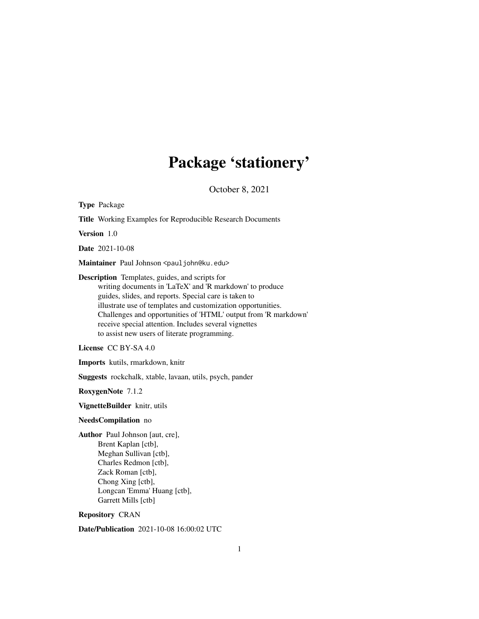# Package 'stationery'

October 8, 2021

Type Package Title Working Examples for Reproducible Research Documents Version 1.0 Date 2021-10-08 Maintainer Paul Johnson <pauljohn@ku.edu> Description Templates, guides, and scripts for writing documents in 'LaTeX' and 'R markdown' to produce guides, slides, and reports. Special care is taken to illustrate use of templates and customization opportunities. Challenges and opportunities of 'HTML' output from 'R markdown' receive special attention. Includes several vignettes to assist new users of literate programming. License CC BY-SA 4.0 Imports kutils, rmarkdown, knitr Suggests rockchalk, xtable, lavaan, utils, psych, pander RoxygenNote 7.1.2 VignetteBuilder knitr, utils NeedsCompilation no Author Paul Johnson [aut, cre], Brent Kaplan [ctb], Meghan Sullivan [ctb], Charles Redmon [ctb], Zack Roman [ctb], Chong Xing [ctb], Longcan 'Emma' Huang [ctb], Garrett Mills [ctb] Repository CRAN Date/Publication 2021-10-08 16:00:02 UTC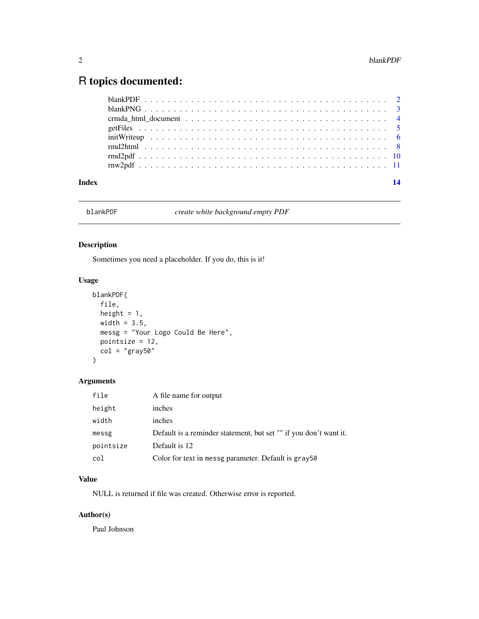## <span id="page-1-0"></span>R topics documented:

| Index | 14 |
|-------|----|
|       |    |
|       |    |
|       |    |
|       |    |
|       |    |
|       |    |
|       |    |
|       |    |

blankPDF *create white background empty PDF*

### Description

Sometimes you need a placeholder. If you do, this is it!

#### Usage

```
blankPDF(
 file,
 height = 1,
 width = 3.5,
 messg = "Your Logo Could Be Here",
 pointsize = 12,
 col = "gray50")
```
#### Arguments

| file      | A file name for output                                            |
|-----------|-------------------------------------------------------------------|
| height    | inches                                                            |
| width     | inches                                                            |
| messg     | Default is a reminder statement, but set "" if you don't want it. |
| pointsize | Default is 12                                                     |
| col       | Color for text in messg parameter. Default is gray50              |

#### Value

NULL is returned if file was created. Otherwise error is reported.

#### Author(s)

Paul Johnson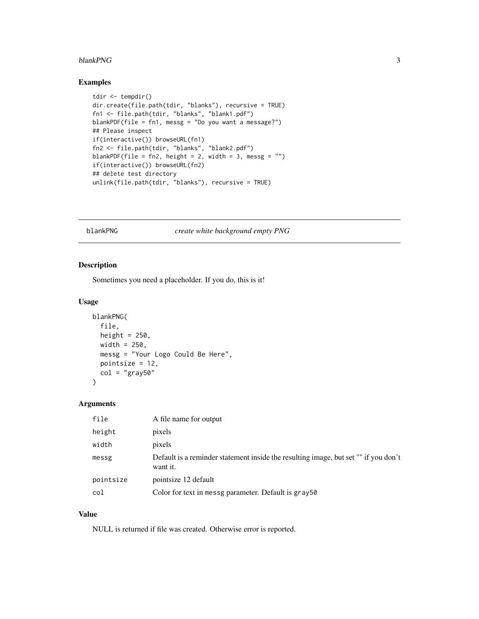#### <span id="page-2-0"></span>blankPNG 3

#### Examples

```
tdir <- tempdir()
dir.create(file.path(tdir, "blanks"), recursive = TRUE)
fn1 <- file.path(tdir, "blanks", "blank1.pdf")
blankPDF(file = fn1, messg = "Do you want a message?")
## Please inspect
if(interactive()) browseURL(fn1)
fn2 <- file.path(tdir, "blanks", "blank2.pdf")
blankPDF(file = fn2, height = 2, width = 3, messg = "")
if(interactive()) browseURL(fn2)
## delete test directory
unlink(file.path(tdir, "blanks"), recursive = TRUE)
```
blankPNG *create white background empty PNG*

#### Description

Sometimes you need a placeholder. If you do, this is it!

#### Usage

```
blankPNG(
  file,
 height = 250,
 width = 250,
 messg = "Your Logo Could Be Here",
 pointsize = 12,
  col = "gray50")
```
#### Arguments

| file      | A file name for output                                                                          |
|-----------|-------------------------------------------------------------------------------------------------|
| height    | pixels                                                                                          |
| width     | pixels                                                                                          |
| messg     | Default is a reminder statement inside the resulting image, but set "" if you don't<br>want it. |
| pointsize | pointsize 12 default                                                                            |
| col       | Color for text in messg parameter. Default is gray50                                            |

#### Value

NULL is returned if file was created. Otherwise error is reported.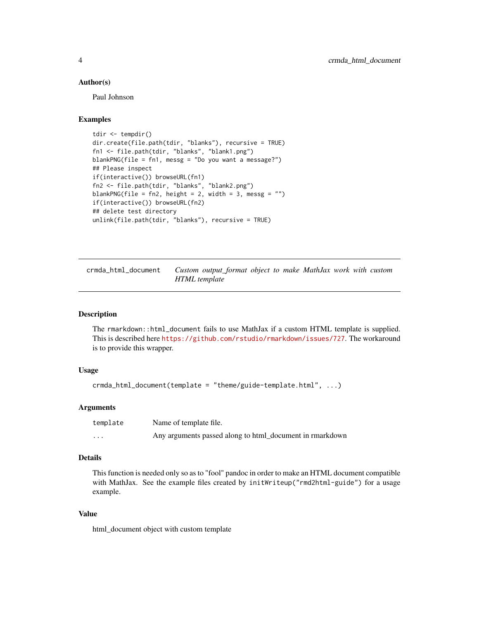#### <span id="page-3-0"></span>Author(s)

Paul Johnson

#### Examples

```
tdir <- tempdir()
dir.create(file.path(tdir, "blanks"), recursive = TRUE)
fn1 <- file.path(tdir, "blanks", "blank1.png")
blankPNG(file = fn1, messg = "Do you want a message?")
## Please inspect
if(interactive()) browseURL(fn1)
fn2 <- file.path(tdir, "blanks", "blank2.png")
blankPNG(file = fn2, height = 2, width = 3, messg = "")
if(interactive()) browseURL(fn2)
## delete test directory
unlink(file.path(tdir, "blanks"), recursive = TRUE)
```

| crmda_html_document | Custom output_format object to make MathJax work with custom |  |  |
|---------------------|--------------------------------------------------------------|--|--|
| HTML template       |                                                              |  |  |

#### Description

The rmarkdown::html\_document fails to use MathJax if a custom HTML template is supplied. This is described here <https://github.com/rstudio/rmarkdown/issues/727>. The workaround is to provide this wrapper.

#### Usage

```
crmda_html_document(template = "theme/guide-template.html", ...)
```
#### Arguments

| template | Name of template file.                                   |
|----------|----------------------------------------------------------|
| $\cdots$ | Any arguments passed along to html_document in rmarkdown |

#### Details

This function is needed only so as to "fool" pandoc in order to make an HTML document compatible with MathJax. See the example files created by initWriteup("rmd2html-guide") for a usage example.

#### Value

html\_document object with custom template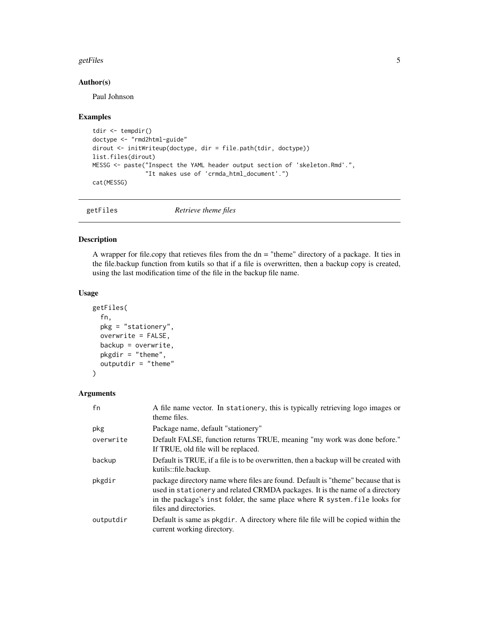#### <span id="page-4-0"></span>getFiles 5

#### Author(s)

Paul Johnson

#### Examples

```
tdir <- tempdir()
doctype <- "rmd2html-guide"
dirout <- initWriteup(doctype, dir = file.path(tdir, doctype))
list.files(dirout)
MESSG <- paste("Inspect the YAML header output section of 'skeleton.Rmd'.",
               "It makes use of 'crmda_html_document'.")
cat(MESSG)
```
getFiles *Retrieve theme files*

#### Description

A wrapper for file.copy that retieves files from the dn = "theme" directory of a package. It ties in the file.backup function from kutils so that if a file is overwritten, then a backup copy is created, using the last modification time of the file in the backup file name.

#### Usage

```
getFiles(
  fn,
 pkg = "stationery",
  overwrite = FALSE,
 backup = overwrite,
  pkgdir = "theme",
  outputdir = "theme"
\lambda
```
#### Arguments

| fn        | A file name vector. In stationery, this is typically retrieving logo images or<br>theme files.                                                                                                                                                                            |
|-----------|---------------------------------------------------------------------------------------------------------------------------------------------------------------------------------------------------------------------------------------------------------------------------|
| pkg       | Package name, default "stationery"                                                                                                                                                                                                                                        |
| overwrite | Default FALSE, function returns TRUE, meaning "my work was done before."<br>If TRUE, old file will be replaced.                                                                                                                                                           |
| backup    | Default is TRUE, if a file is to be overwritten, then a backup will be created with<br>kutils::file.backup.                                                                                                                                                               |
| pkgdir    | package directory name where files are found. Default is "theme" because that is<br>used in stationery and related CRMDA packages. It is the name of a directory<br>in the package's inst folder, the same place where R system. file looks for<br>files and directories. |
| outputdir | Default is same as pkgdir. A directory where file file will be copied within the<br>current working directory.                                                                                                                                                            |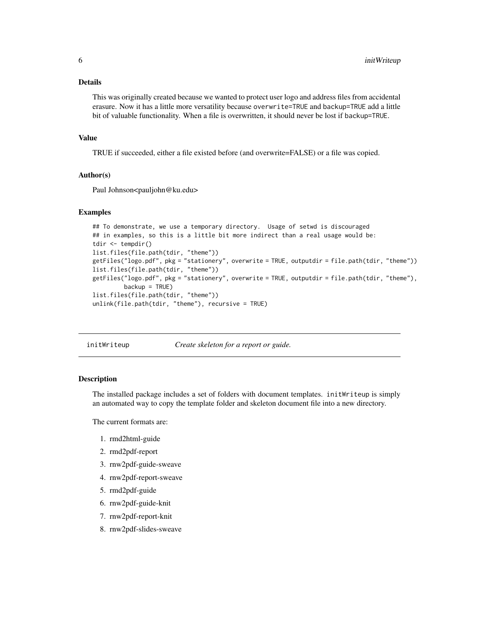#### <span id="page-5-0"></span>Details

This was originally created because we wanted to protect user logo and address files from accidental erasure. Now it has a little more versatility because overwrite=TRUE and backup=TRUE add a little bit of valuable functionality. When a file is overwritten, it should never be lost if backup=TRUE.

#### Value

TRUE if succeeded, either a file existed before (and overwrite=FALSE) or a file was copied.

#### Author(s)

Paul Johnson<pauljohn@ku.edu>

#### Examples

```
## To demonstrate, we use a temporary directory. Usage of setwd is discouraged
## in examples, so this is a little bit more indirect than a real usage would be:
tdir <- tempdir()
list.files(file.path(tdir, "theme"))
getFiles("logo.pdf", pkg = "stationery", overwrite = TRUE, outputdir = file.path(tdir, "theme"))
list.files(file.path(tdir, "theme"))
getFiles("logo.pdf", pkg = "stationery", overwrite = TRUE, outputdir = file.path(tdir, "theme"),
        backup = TRUE)
list.files(file.path(tdir, "theme"))
unlink(file.path(tdir, "theme"), recursive = TRUE)
```
initWriteup *Create skeleton for a report or guide.*

#### **Description**

The installed package includes a set of folders with document templates. initWriteup is simply an automated way to copy the template folder and skeleton document file into a new directory.

The current formats are:

- 1. rmd2html-guide
- 2. rmd2pdf-report
- 3. rnw2pdf-guide-sweave
- 4. rnw2pdf-report-sweave
- 5. rmd2pdf-guide
- 6. rnw2pdf-guide-knit
- 7. rnw2pdf-report-knit
- 8. rnw2pdf-slides-sweave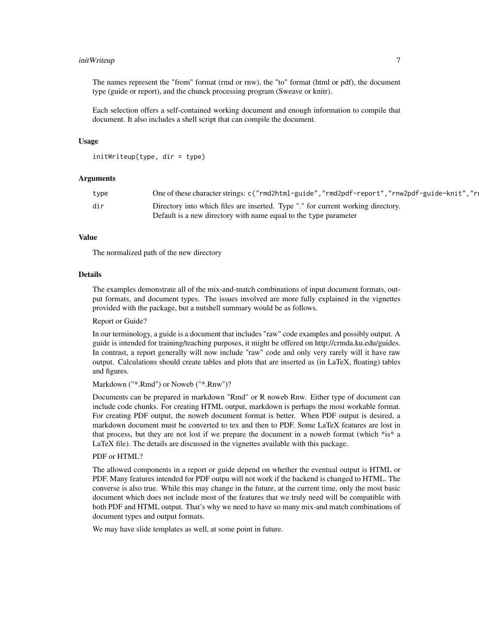#### initWriteup 7

The names represent the "from" format (rmd or rnw), the "to" format (html or pdf), the document type (guide or report), and the chunck processing program (Sweave or knitr).

Each selection offers a self-contained working document and enough information to compile that document. It also includes a shell script that can compile the document.

#### Usage

```
initWriteup(type, dir = type)
```
#### Arguments

| type | One of these character strings: c("rmd2html-guide","rmd2pdf-report","rnw2pdf-guide-knit","rn |  |
|------|----------------------------------------------------------------------------------------------|--|
| dir  | Directory into which files are inserted. Type "." for current working directory.             |  |
|      | Default is a new directory with name equal to the type parameter                             |  |

#### Value

The normalized path of the new directory

#### Details

The examples demonstrate all of the mix-and-match combinations of input document formats, output formats, and document types. The issues involved are more fully explained in the vignettes provided with the package, but a nutshell summary would be as follows.

Report or Guide?

In our terminology, a guide is a document that includes "raw" code examples and possibly output. A guide is intended for training/teaching purposes, it might be offered on http://crmda.ku.edu/guides. In contrast, a report generally will now include "raw" code and only very rarely will it have raw output. Calculations should create tables and plots that are inserted as (in LaTeX, floating) tables and figures.

Markdown ("\*.Rmd") or Noweb ("\*.Rnw")?

Documents can be prepared in markdown "Rmd" or R noweb Rnw. Either type of document can include code chunks. For creating HTML output, markdown is perhaps the most workable format. For creating PDF output, the noweb document format is better. When PDF output is desired, a markdown document must be converted to tex and then to PDF. Some LaTeX features are lost in that process, but they are not lost if we prepare the document in a noweb format (which \*is\* a LaTeX file). The details are discussed in the vignettes available with this package.

#### PDF or HTML?

The allowed components in a report or guide depend on whether the eventual output is HTML or PDF. Many features intended for PDF outpu will not work if the backend is changed to HTML. The converse is also true. While this may change in the future, at the current time, only the most basic document which does not include most of the features that we truly need will be compatible with both PDF and HTML output. That's why we need to have so many mix-and match combinations of document types and output formats.

We may have slide templates as well, at some point in future.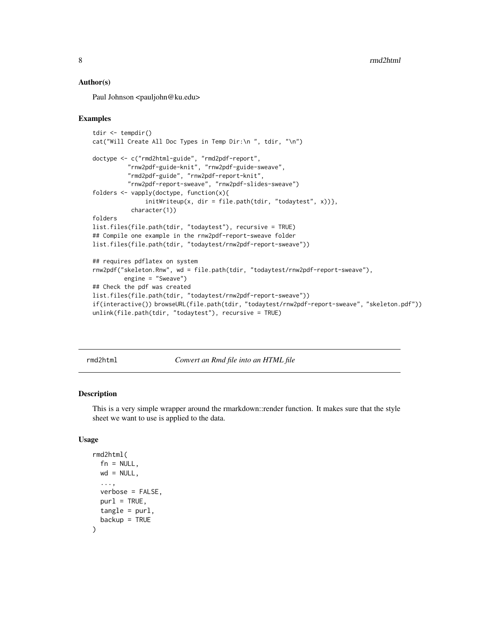#### <span id="page-7-0"></span>Author(s)

Paul Johnson <pauljohn@ku.edu>

#### Examples

```
tdir <- tempdir()
cat("Will Create All Doc Types in Temp Dir:\n ", tdir, "\n")
doctype <- c("rmd2html-guide", "rmd2pdf-report",
          "rnw2pdf-guide-knit", "rnw2pdf-guide-sweave",
          "rmd2pdf-guide", "rnw2pdf-report-knit",
          "rnw2pdf-report-sweave", "rnw2pdf-slides-sweave")
folders <- vapply(doctype, function(x){
               initWriteup(x, dir = file.path(tdir, "todaytest", x))},
           character(1))
folders
list.files(file.path(tdir, "todaytest"), recursive = TRUE)
## Compile one example in the rnw2pdf-report-sweave folder
list.files(file.path(tdir, "todaytest/rnw2pdf-report-sweave"))
## requires pdflatex on system
rnw2pdf("skeleton.Rnw", wd = file.path(tdir, "todaytest/rnw2pdf-report-sweave"),
         engine = "Sweave")
## Check the pdf was created
list.files(file.path(tdir, "todaytest/rnw2pdf-report-sweave"))
if(interactive()) browseURL(file.path(tdir, "todaytest/rnw2pdf-report-sweave", "skeleton.pdf"))
unlink(file.path(tdir, "todaytest"), recursive = TRUE)
```
rmd2html *Convert an Rmd file into an HTML file*

#### **Description**

This is a very simple wrapper around the rmarkdown::render function. It makes sure that the style sheet we want to use is applied to the data.

#### Usage

```
rmd2html(
  fn = NULL,wd = NULL,...,
 verbose = FALSE,
 purl = TRUE,
 tangle = purl,
  backup = TRUE)
```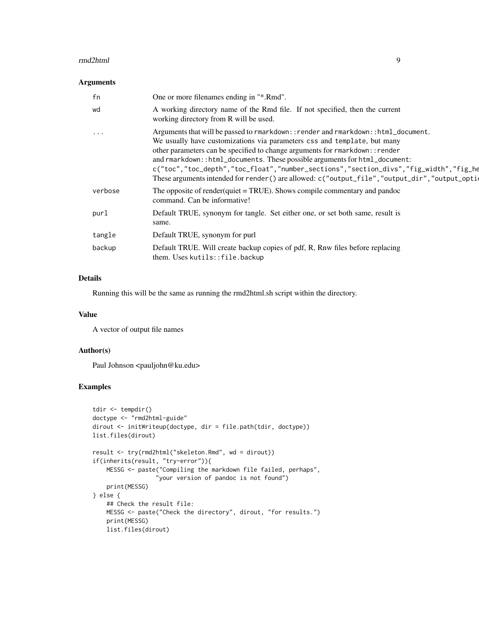#### rmd2html 9

#### Arguments

| fn                      | One or more filenames ending in "*.Rmd".                                                                                                                                                                                                                                                                                                                                                                                                                                                                               |
|-------------------------|------------------------------------------------------------------------------------------------------------------------------------------------------------------------------------------------------------------------------------------------------------------------------------------------------------------------------------------------------------------------------------------------------------------------------------------------------------------------------------------------------------------------|
| wd                      | A working directory name of the Rmd file. If not specified, then the current<br>working directory from R will be used.                                                                                                                                                                                                                                                                                                                                                                                                 |
| $\sim 100$ km s $^{-1}$ | Arguments that will be passed to rmarkdown:: render and rmarkdown:: html_document.<br>We usually have customizations via parameters css and template, but many<br>other parameters can be specified to change arguments for rmarkdown:: render<br>and rmarkdown::html_documents. These possible arguments for html_document:<br>c("toc","toc_depth","toc_float","number_sections","section_divs","fig_width","fig_he<br>These arguments intended for render() are allowed: c("output_file","output_dir","output_option |
| verbose                 | The opposite of render(quiet = TRUE). Shows compile commentary and pandoc<br>command. Can be informative!                                                                                                                                                                                                                                                                                                                                                                                                              |
| purl                    | Default TRUE, synonym for tangle. Set either one, or set both same, result is<br>same.                                                                                                                                                                                                                                                                                                                                                                                                                                 |
| tangle                  | Default TRUE, synonym for purl                                                                                                                                                                                                                                                                                                                                                                                                                                                                                         |
| backup                  | Default TRUE. Will create backup copies of pdf, R, Rnw files before replacing<br>them. Uses kutils::file.backup                                                                                                                                                                                                                                                                                                                                                                                                        |

#### Details

Running this will be the same as running the rmd2html.sh script within the directory.

#### Value

A vector of output file names

#### Author(s)

Paul Johnson <pauljohn@ku.edu>

#### Examples

```
tdir <- tempdir()
doctype <- "rmd2html-guide"
dirout <- initWriteup(doctype, dir = file.path(tdir, doctype))
list.files(dirout)
result <- try(rmd2html("skeleton.Rmd", wd = dirout))
if(inherits(result, "try-error")){
   MESSG <- paste("Compiling the markdown file failed, perhaps",
                  "your version of pandoc is not found")
   print(MESSG)
} else {
   ## Check the result file:
   MESSG <- paste("Check the directory", dirout, "for results.")
   print(MESSG)
   list.files(dirout)
```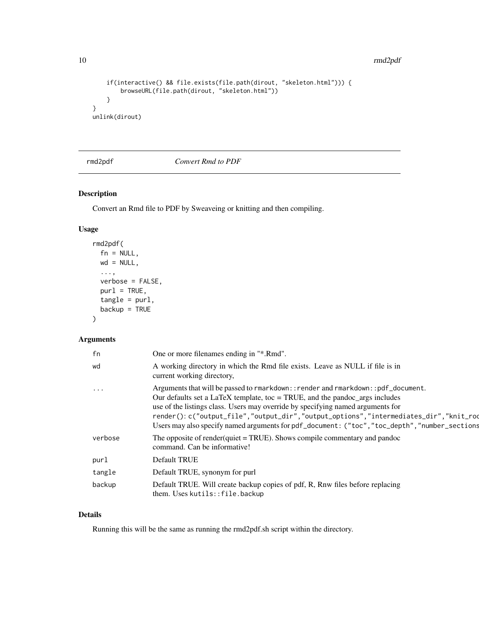10 rmd2pdf

```
if(interactive() && file.exists(file.path(dirout, "skeleton.html"))) {
       browseURL(file.path(dirout, "skeleton.html"))
    }
}
unlink(dirout)
```
rmd2pdf *Convert Rmd to PDF*

#### Description

Convert an Rmd file to PDF by Sweaveing or knitting and then compiling.

#### Usage

```
rmd2pdf(
  fn = NULL,wd = NULL,...,
 verbose = FALSE,
 purl = TRUE,tangle = purl,
 backup = TRUE)
```
#### Arguments

| fn                   | One or more filenames ending in "*.Rmd".                                                                                                                                                                                                                                                                                                                                                                                                       |
|----------------------|------------------------------------------------------------------------------------------------------------------------------------------------------------------------------------------------------------------------------------------------------------------------------------------------------------------------------------------------------------------------------------------------------------------------------------------------|
| wd                   | A working directory in which the Rmd file exists. Leave as NULL if file is in<br>current working directory,                                                                                                                                                                                                                                                                                                                                    |
| $\sim$ $\sim$ $\sim$ | Arguments that will be passed to rmarkdown:: render and rmarkdown:: pdf_document.<br>Our defaults set a LaTeX template, toc = TRUE, and the pandoc_args includes<br>use of the listings class. Users may override by specifying named arguments for<br>render(): c("output_file","output_dir","output_options","intermediates_dir","knit_rod<br>Users may also specify named arguments for pdf_document: ("toc", "toc_depth", "number_sections |
| verbose              | The opposite of render(quiet = TRUE). Shows compile commentary and pandoc<br>command. Can be informative!                                                                                                                                                                                                                                                                                                                                      |
| purl                 | Default TRUE                                                                                                                                                                                                                                                                                                                                                                                                                                   |
| tangle               | Default TRUE, synonym for purl                                                                                                                                                                                                                                                                                                                                                                                                                 |
| backup               | Default TRUE. Will create backup copies of pdf, R, Rnw files before replacing<br>them. Uses kutils::file.backup                                                                                                                                                                                                                                                                                                                                |

#### Details

Running this will be the same as running the rmd2pdf.sh script within the directory.

<span id="page-9-0"></span>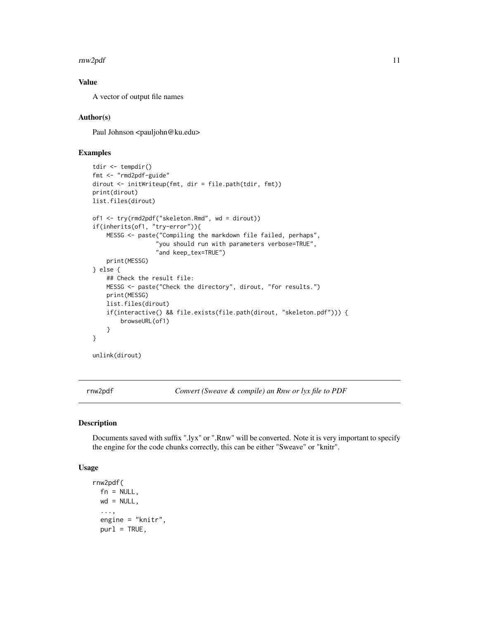#### <span id="page-10-0"></span> $r_{\rm m}$  rnw2pdf  $11$

#### Value

A vector of output file names

#### Author(s)

Paul Johnson <pauljohn@ku.edu>

#### Examples

```
tdir <- tempdir()
fmt <- "rmd2pdf-guide"
dirout <- initWriteup(fmt, dir = file.path(tdir, fmt))
print(dirout)
list.files(dirout)
of1 <- try(rmd2pdf("skeleton.Rmd", wd = dirout))
if(inherits(of1, "try-error")){
    MESSG <- paste("Compiling the markdown file failed, perhaps",
                  "you should run with parameters verbose=TRUE",
                  "and keep_tex=TRUE")
    print(MESSG)
} else {
   ## Check the result file:
   MESSG <- paste("Check the directory", dirout, "for results.")
   print(MESSG)
   list.files(dirout)
    if(interactive() && file.exists(file.path(dirout, "skeleton.pdf"))) {
        browseURL(of1)
    }
}
unlink(dirout)
```
rnw2pdf *Convert (Sweave & compile) an Rnw or lyx file to PDF*

#### Description

Documents saved with suffix ".lyx" or ".Rnw" will be converted. Note it is very important to specify the engine for the code chunks correctly, this can be either "Sweave" or "knitr".

#### Usage

```
rnw2pdf(
  fn = NULL,wd = NULL,
  ...,
  engine = "knitr",
 pur1 = TRUE,
```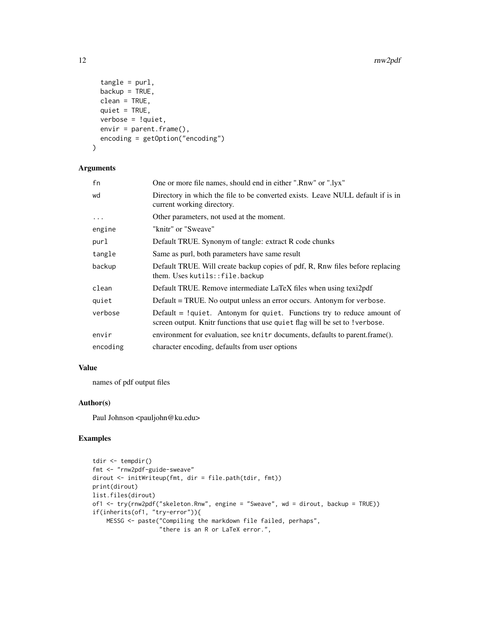```
tangle = purl,backup = TRUE,
 clean = TRUE,
  quiet = TRUE,
  verbose = !quiet,
 envir = parent.frame(),
 encoding = getOption("encoding")
\lambda
```
### Arguments

| fn         | One or more file names, should end in either ".Rnw" or ".lyx"                                                                                            |
|------------|----------------------------------------------------------------------------------------------------------------------------------------------------------|
| wd         | Directory in which the file to be converted exists. Leave NULL default if is in<br>current working directory.                                            |
| $\ddots$ . | Other parameters, not used at the moment.                                                                                                                |
| engine     | "knitr" or "Sweave"                                                                                                                                      |
| purl       | Default TRUE. Synonym of tangle: extract R code chunks                                                                                                   |
| tangle     | Same as purl, both parameters have same result                                                                                                           |
| backup     | Default TRUE. Will create backup copies of pdf, R, Rnw files before replacing<br>them. Uses kutils::file.backup                                          |
| clean      | Default TRUE. Remove intermediate LaTeX files when using texi2pdf                                                                                        |
| quiet      | Default = TRUE. No output unless an error occurs. Antonym for verbose.                                                                                   |
| verbose    | Default $=$ !quiet. Antonym for quiet. Functions try to reduce amount of<br>screen output. Knitr functions that use quiet flag will be set to ! verbose. |
| envir      | environment for evaluation, see knit r documents, defaults to parent.frame().                                                                            |
| encoding   | character encoding, defaults from user options                                                                                                           |

#### Value

names of pdf output files

#### Author(s)

Paul Johnson <pauljohn@ku.edu>

#### Examples

```
tdir <- tempdir()
fmt <- "rnw2pdf-guide-sweave"
dirout <- initWriteup(fmt, dir = file.path(tdir, fmt))
print(dirout)
list.files(dirout)
of1 <- try(rnw2pdf("skeleton.Rnw", engine = "Sweave", wd = dirout, backup = TRUE))
if(inherits(of1, "try-error")){
    MESSG <- paste("Compiling the markdown file failed, perhaps",
                   "there is an R or LaTeX error.",
```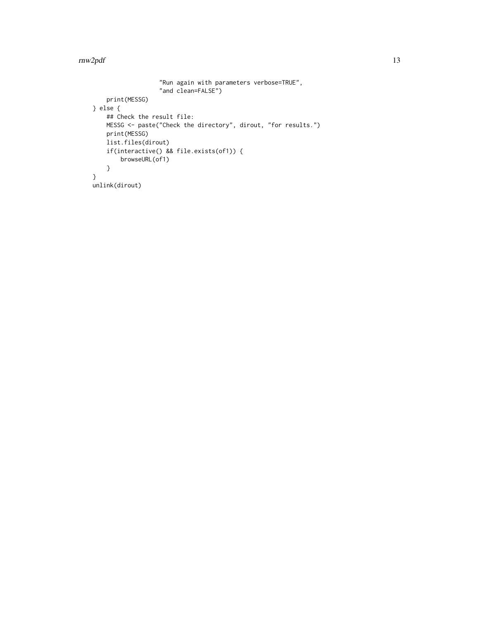#### $\frac{r}{2}$ rnw $2$ pdf  $\frac{13}{2}$

```
"Run again with parameters verbose=TRUE",
                   "and clean=FALSE")
    print(MESSG)
} else {
    ## Check the result file:
    MESSG <- paste("Check the directory", dirout, "for results.")
    print(MESSG)
    list.files(dirout)
    if(interactive() && file.exists(of1)) {
        browseURL(of1)
    }
}
unlink(dirout)
```